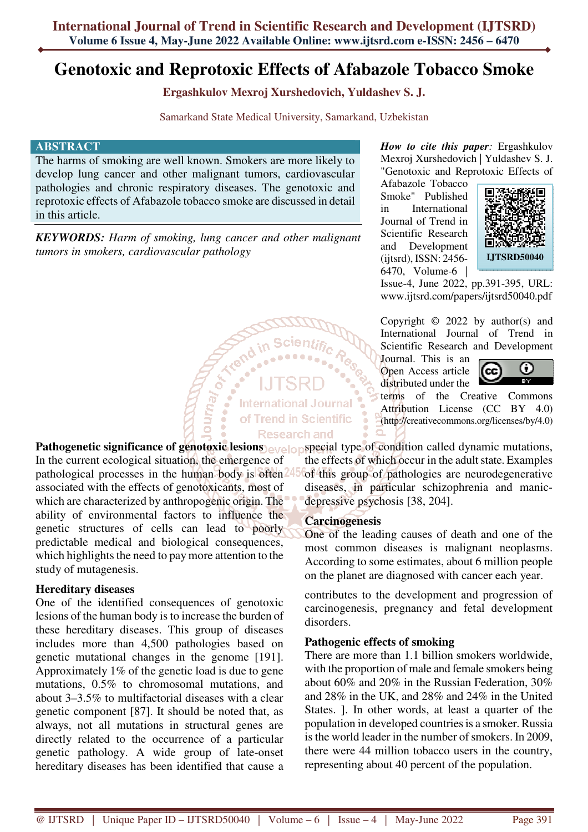# **Genotoxic and Reprotoxic Effects of Afabazole Tobacco Smoke**

**Ergashkulov Mexroj Xurshedovich, Yuldashev S. J.**

Samarkand State Medical University, Samarkand, Uzbekistan

#### **ABSTRACT**

The harms of smoking are well known. Smokers are more likely to develop lung cancer and other malignant tumors, cardiovascular pathologies and chronic respiratory diseases. The genotoxic and reprotoxic effects of Afabazole tobacco smoke are discussed in detail in this article.

*KEYWORDS: Harm of smoking, lung cancer and other malignant tumors in smokers, cardiovascular pathology* 

*How to cite this paper:* Ergashkulov Mexroj Xurshedovich | Yuldashev S. J. "Genotoxic and Reprotoxic Effects of

Afabazole Tobacco Smoke" Published in International Journal of Trend in Scientific Research and Development (ijtsrd), ISSN: 2456- 6470, Volume-6 |



Issue-4, June 2022, pp.391-395, URL: www.ijtsrd.com/papers/ijtsrd50040.pdf

Copyright  $\odot$  2022 by author(s) and International Journal of Trend in Scientific Research and Development

Journal. This is an Open Access article distributed under the



terms of the Creative Commons Attribution License (CC BY 4.0) (http://creativecommons.org/licenses/by/4.0)

**Altray Street International Journal** of Trend in Scientific **Research and** 

In the current ecological situation, the emergence of pathological processes in the human body is often<sup>245</sup> associated with the effects of genotoxicants, most of which are characterized by anthropogenic origin. The ability of environmental factors to influence the genetic structures of cells can lead to poorly predictable medical and biological consequences, which highlights the need to pay more attention to the study of mutagenesis.

## **Hereditary diseases**

One of the identified consequences of genotoxic lesions of the human body is to increase the burden of these hereditary diseases. This group of diseases includes more than 4,500 pathologies based on genetic mutational changes in the genome [191]. Approximately 1% of the genetic load is due to gene mutations, 0.5% to chromosomal mutations, and about 3–3.5% to multifactorial diseases with a clear genetic component [87]. It should be noted that, as always, not all mutations in structural genes are directly related to the occurrence of a particular genetic pathology. A wide group of late-onset hereditary diseases has been identified that cause a

**Pathogenetic significance of genotoxic lesions** evelops pecial type of condition called dynamic mutations, the effects of which occur in the adult state. Examples of this group of pathologies are neurodegenerative diseases, in particular schizophrenia and manicdepressive psychosis [38, 204].

#### **Carcinogenesis**

One of the leading causes of death and one of the most common diseases is malignant neoplasms. According to some estimates, about 6 million people on the planet are diagnosed with cancer each year.

contributes to the development and progression of carcinogenesis, pregnancy and fetal development disorders.

## **Pathogenic effects of smoking**

There are more than 1.1 billion smokers worldwide, with the proportion of male and female smokers being about 60% and 20% in the Russian Federation, 30% and 28% in the UK, and 28% and 24% in the United States. ]. In other words, at least a quarter of the population in developed countries is a smoker. Russia is the world leader in the number of smokers. In 2009, there were 44 million tobacco users in the country, representing about 40 percent of the population.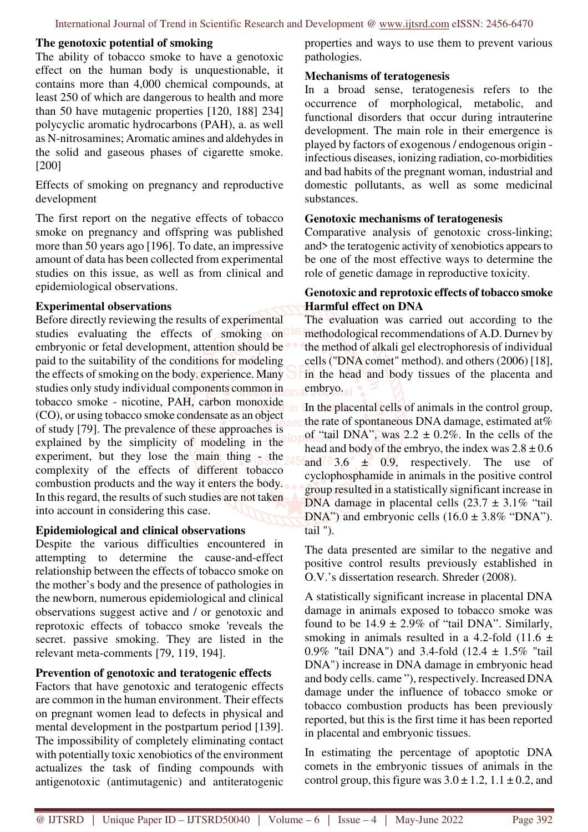### **The genotoxic potential of smoking**

The ability of tobacco smoke to have a genotoxic effect on the human body is unquestionable, it contains more than 4,000 chemical compounds, at least 250 of which are dangerous to health and more than 50 have mutagenic properties [120, 188] 234] polycyclic aromatic hydrocarbons (PAH), a. as well as N-nitrosamines; Aromatic amines and aldehydes in the solid and gaseous phases of cigarette smoke. [200]

Effects of smoking on pregnancy and reproductive development

The first report on the negative effects of tobacco smoke on pregnancy and offspring was published more than 50 years ago [196]. To date, an impressive amount of data has been collected from experimental studies on this issue, as well as from clinical and epidemiological observations.

### **Experimental observations**

Before directly reviewing the results of experimental studies evaluating the effects of smoking on embryonic or fetal development, attention should be paid to the suitability of the conditions for modeling the effects of smoking on the body. experience. Many studies only study individual components common in tobacco smoke - nicotine, PAH, carbon monoxide (CO), or using tobacco smoke condensate as an object of study [79]. The prevalence of these approaches is explained by the simplicity of modeling in the experiment, but they lose the main thing  $\epsilon$  the complexity of the effects of different tobacco combustion products and the way it enters the body. In this regard, the results of such studies are not taken into account in considering this case.

## **Epidemiological and clinical observations**

Despite the various difficulties encountered in attempting to determine the cause-and-effect relationship between the effects of tobacco smoke on the mother's body and the presence of pathologies in the newborn, numerous epidemiological and clinical observations suggest active and / or genotoxic and reprotoxic effects of tobacco smoke 'reveals the secret. passive smoking. They are listed in the relevant meta-comments [79, 119, 194].

## **Prevention of genotoxic and teratogenic effects**

Factors that have genotoxic and teratogenic effects are common in the human environment. Their effects on pregnant women lead to defects in physical and mental development in the postpartum period [139]. The impossibility of completely eliminating contact with potentially toxic xenobiotics of the environment actualizes the task of finding compounds with antigenotoxic (antimutagenic) and antiteratogenic

properties and ways to use them to prevent various pathologies.

#### **Mechanisms of teratogenesis**

In a broad sense, teratogenesis refers to the occurrence of morphological, metabolic, and functional disorders that occur during intrauterine development. The main role in their emergence is played by factors of exogenous / endogenous origin infectious diseases, ionizing radiation, co-morbidities and bad habits of the pregnant woman, industrial and domestic pollutants, as well as some medicinal substances.

### **Genotoxic mechanisms of teratogenesis**

Comparative analysis of genotoxic cross-linking; and> the teratogenic activity of xenobiotics appears to be one of the most effective ways to determine the role of genetic damage in reproductive toxicity.

### **Genotoxic and reprotoxic effects of tobacco smoke Harmful effect on DNA**

The evaluation was carried out according to the methodological recommendations of A.D. Durnev by the method of alkali gel electrophoresis of individual cells ("DNA comet" method). and others (2006) [18], in the head and body tissues of the placenta and embryo.

In the placental cells of animals in the control group, the rate of spontaneous DNA damage, estimated at  $%$ of "tail DNA", was  $2.2 \pm 0.2\%$ . In the cells of the head and body of the embryo, the index was  $2.8 \pm 0.6$ and  $3.6 \pm 0.9$ , respectively. The use of cyclophosphamide in animals in the positive control group resulted in a statistically significant increase in DNA damage in placental cells  $(23.7 \pm 3.1\%$  "tail" DNA") and embryonic cells  $(16.0 \pm 3.8\%$  "DNA"). tail ").

The data presented are similar to the negative and positive control results previously established in O.V.'s dissertation research. Shreder (2008).

A statistically significant increase in placental DNA damage in animals exposed to tobacco smoke was found to be  $14.9 \pm 2.9\%$  of "tail DNA". Similarly, smoking in animals resulted in a 4.2-fold  $(11.6 \pm$ 0.9% "tail DNA") and 3.4-fold  $(12.4 \pm 1.5\%$  "tail DNA") increase in DNA damage in embryonic head and body cells. came "), respectively. Increased DNA damage under the influence of tobacco smoke or tobacco combustion products has been previously reported, but this is the first time it has been reported in placental and embryonic tissues.

In estimating the percentage of apoptotic DNA comets in the embryonic tissues of animals in the control group, this figure was  $3.0 \pm 1.2$ ,  $1.1 \pm 0.2$ , and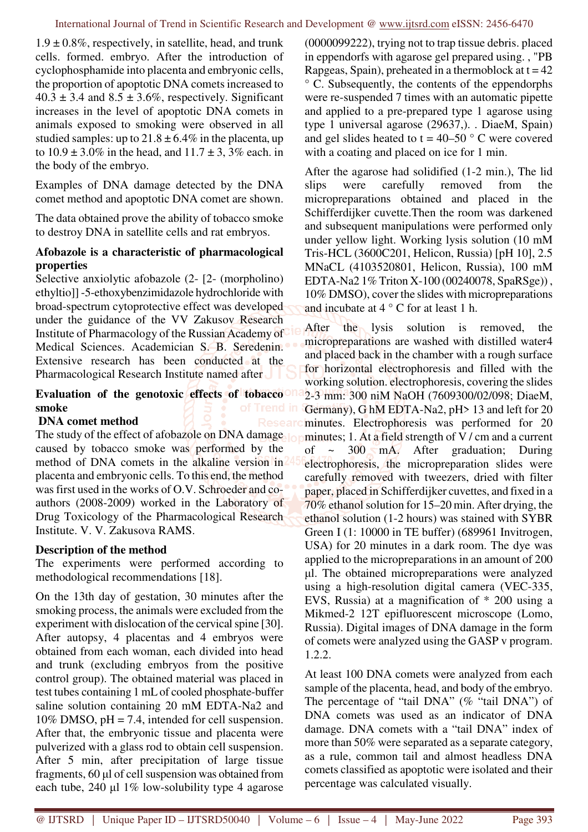$1.9 \pm 0.8\%$ , respectively, in satellite, head, and trunk cells. formed. embryo. After the introduction of cyclophosphamide into placenta and embryonic cells, the proportion of apoptotic DNA comets increased to  $40.3 \pm 3.4$  and  $8.5 \pm 3.6\%$ , respectively. Significant increases in the level of apoptotic DNA comets in animals exposed to smoking were observed in all studied samples: up to  $21.8 \pm 6.4\%$  in the placenta, up to  $10.9 \pm 3.0\%$  in the head, and  $11.7 \pm 3.3\%$  each. in the body of the embryo.

Examples of DNA damage detected by the DNA comet method and apoptotic DNA comet are shown.

The data obtained prove the ability of tobacco smoke to destroy DNA in satellite cells and rat embryos.

## **Afobazole is a characteristic of pharmacological properties**

Selective anxiolytic afobazole (2- [2- (morpholino) ethyltio]] -5-ethoxybenzimidazole hydrochloride with broad-spectrum cytoprotective effect was developed under the guidance of the VV Zakusov Research Institute of Pharmacology of the Russian Academy of Medical Sciences. Academician S. B. Seredenin. Extensive research has been conducted at the Pharmacological Research Institute named after

## **Evaluation of the genotoxic effects of tobacco smoke**

## **DNA comet method**

The study of the effect of afobazole on DNA damage caused by tobacco smoke was performed by the method of DNA comets in the alkaline version in placenta and embryonic cells. To this end, the method was first used in the works of O.V. Schroeder and coauthors (2008-2009) worked in the Laboratory of Drug Toxicology of the Pharmacological Research Institute. V. V. Zakusova RAMS.

# **Description of the method**

The experiments were performed according to methodological recommendations [18].

On the 13th day of gestation, 30 minutes after the smoking process, the animals were excluded from the experiment with dislocation of the cervical spine [30]. After autopsy, 4 placentas and 4 embryos were obtained from each woman, each divided into head and trunk (excluding embryos from the positive control group). The obtained material was placed in test tubes containing 1 mL of cooled phosphate-buffer saline solution containing 20 mM EDTA-Na2 and  $10\%$  DMSO,  $pH = 7.4$ , intended for cell suspension. After that, the embryonic tissue and placenta were pulverized with a glass rod to obtain cell suspension. After 5 min, after precipitation of large tissue fragments, 60 µl of cell suspension was obtained from each tube, 240 µl 1% low-solubility type 4 agarose

(0000099222), trying not to trap tissue debris. placed in eppendorfs with agarose gel prepared using. , "PB Rapgeas, Spain), preheated in a thermoblock at  $t = 42$ ° C. Subsequently, the contents of the eppendorphs were re-suspended 7 times with an automatic pipette and applied to a pre-prepared type 1 agarose using type 1 universal agarose (29637,). . DiaeM, Spain) and gel slides heated to  $t = 40-50$  ° C were covered with a coating and placed on ice for 1 min.

After the agarose had solidified (1-2 min.), The lid slips were carefully removed from the micropreparations obtained and placed in the Schifferdijker cuvette.Then the room was darkened and subsequent manipulations were performed only under yellow light. Working lysis solution (10 mM Tris-HCL (3600C201, Helicon, Russia) [pH 10], 2.5 MNaCL (4103520801, Helicon, Russia), 100 mM EDTA-Na2 1% Triton X-100 (00240078, SpaRSge)) , 10% DMSO), cover the slides with micropreparations and incubate at 4 ° C for at least 1 h.

After the lysis solution is removed, the micropreparations are washed with distilled water4 and placed back in the chamber with a rough surface for horizontal electrophoresis and filled with the working solution. electrophoresis, covering the slides 2-3 mm: 300 niM NaOH (7609300/02/098; DiaeM, Germany), G hM EDTA-Na2, pH> 13 and left for 20 minutes. Electrophoresis was performed for 20 minutes; 1. At a field strength of V / cm and a current of  $\sim$  300 mA. After graduation; During electrophoresis, the micropreparation slides were carefully removed with tweezers, dried with filter paper, placed in Schifferdijker cuvettes, and fixed in a 70% ethanol solution for 15–20 min. After drying, the ethanol solution (1-2 hours) was stained with SYBR Green I (1: 10000 in TE buffer) (689961 Invitrogen, USA) for 20 minutes in a dark room. The dye was applied to the micropreparations in an amount of 200 µl. The obtained micropreparations were analyzed using a high-resolution digital camera (VEC-335, EVS, Russia) at a magnification of \* 200 using a Mikmed-2 12T epifluorescent microscope (Lomo, Russia). Digital images of DNA damage in the form of comets were analyzed using the GASP v program. 1.2.2.

At least 100 DNA comets were analyzed from each sample of the placenta, head, and body of the embryo. The percentage of "tail DNA" (% "tail DNA") of DNA comets was used as an indicator of DNA damage. DNA comets with a "tail DNA" index of more than 50% were separated as a separate category, as a rule, common tail and almost headless DNA comets classified as apoptotic were isolated and their percentage was calculated visually.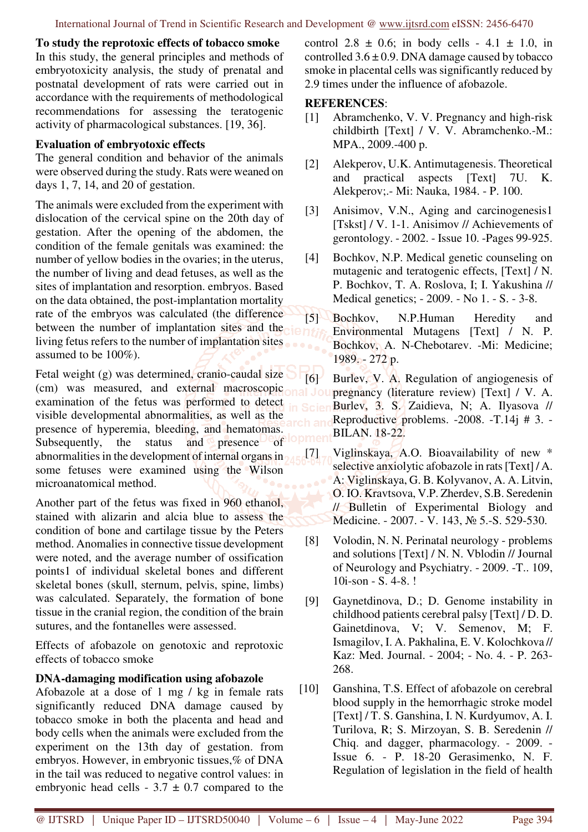**To study the reprotoxic effects of tobacco smoke**  In this study, the general principles and methods of embryotoxicity analysis, the study of prenatal and postnatal development of rats were carried out in accordance with the requirements of methodological recommendations for assessing the teratogenic activity of pharmacological substances. [19, 36].

## **Evaluation of embryotoxic effects**

The general condition and behavior of the animals were observed during the study. Rats were weaned on days 1, 7, 14, and 20 of gestation.

The animals were excluded from the experiment with dislocation of the cervical spine on the 20th day of gestation. After the opening of the abdomen, the condition of the female genitals was examined: the number of yellow bodies in the ovaries; in the uterus, the number of living and dead fetuses, as well as the sites of implantation and resorption. embryos. Based on the data obtained, the post-implantation mortality rate of the embryos was calculated (the difference between the number of implantation sites and the living fetus refers to the number of implantation sites assumed to be 100%).

Fetal weight (g) was determined, cranio-caudal size (cm) was measured, and external macroscopic examination of the fetus was performed to detect visible developmental abnormalities, as well as the presence of hyperemia, bleeding, and hematomas. Subsequently, the status and presence of abnormalities in the development of internal organs in some fetuses were examined using the Wilson microanatomical method.

Another part of the fetus was fixed in 960 ethanol, stained with alizarin and alcia blue to assess the condition of bone and cartilage tissue by the Peters method. Anomalies in connective tissue development were noted, and the average number of ossification points1 of individual skeletal bones and different skeletal bones (skull, sternum, pelvis, spine, limbs) was calculated. Separately, the formation of bone tissue in the cranial region, the condition of the brain sutures, and the fontanelles were assessed.

Effects of afobazole on genotoxic and reprotoxic effects of tobacco smoke

## **DNA-damaging modification using afobazole**

Afobazole at a dose of 1 mg / kg in female rats significantly reduced DNA damage caused by tobacco smoke in both the placenta and head and body cells when the animals were excluded from the experiment on the 13th day of gestation. from embryos. However, in embryonic tissues,% of DNA in the tail was reduced to negative control values: in embryonic head cells -  $3.7 \pm 0.7$  compared to the

control 2.8  $\pm$  0.6; in body cells - 4.1  $\pm$  1.0, in controlled  $3.6 \pm 0.9$ . DNA damage caused by tobacco smoke in placental cells was significantly reduced by 2.9 times under the influence of afobazole.

### **REFERENCES**:

- [1] Abramchenko, V. V. Pregnancy and high-risk childbirth [Text] / V. V. Abramchenko.-M.: MPA., 2009.-400 p.
- [2] Alekperov, U.K. Antimutagenesis. Theoretical and practical aspects [Text] 7U. K. Alekperov;.- Mi: Nauka, 1984. - P. 100.
- [3] Anisimov, V.N., Aging and carcinogenesis1 [Tskst] / V. 1-1. Anisimov // Achievements of gerontology. - 2002. - Issue 10. -Pages 99-925.
- [4] Bochkov, N.P. Medical genetic counseling on mutagenic and teratogenic effects, [Text] / N. P. Bochkov, T. A. Roslova, I; I. Yakushina // Medical genetics; - 2009. - No 1. - S. - 3-8.
- [5] Bochkov, N.P.Human Heredity and Environmental Mutagens [Text] / N. P. Bochkov, A. N-Chebotarev. -Mi: Medicine; 1989. - 272 p.

[6] Burlev, V. A. Regulation of angiogenesis of pregnancy (literature review) [Text] / V. A. Burlev, 3. S. Zaidieva, N; A. Ilyasova // Reproductive problems. -2008. -T.14j # 3. - BILAN. 18-22.

- [7] Viglinskaya, A.O. Bioavailability of new \* selective anxiolytic afobazole in rats [Text] / A. A: Viglinskaya, G. B. Kolyvanov, A. A. Litvin, O. IO. Kravtsova, V.P. Zherdev, S.B. Seredenin // Bulletin of Experimental Biology and Medicine. - 2007. - V. 143, № 5.-S. 529-530.
- [8] Volodin, N. N. Perinatal neurology problems and solutions [Text] / N. N. Vblodin // Journal of Neurology and Psychiatry. - 2009. -T.. 109, 10i-son - S. 4-8. !
- [9] Gaynetdinova, D.; D. Genome instability in childhood patients cerebral palsy [Text] / D. D. Gainetdinova, V; V. Semenov, M; F. Ismagilov, I. A. Pakhalina, E. V. Kolochkova // Kaz: Med. Journal. - 2004; - No. 4. - P. 263- 268.
- [10] Ganshina, T.S. Effect of afobazole on cerebral blood supply in the hemorrhagic stroke model [Text] / T. S. Ganshina, I. N. Kurdyumov, A. I. Turilova, R; S. Mirzoyan, S. B. Seredenin // Chiq. and dagger, pharmacology. - 2009. - Issue 6. - P. 18-20 Gerasimenko, N. F. Regulation of legislation in the field of health